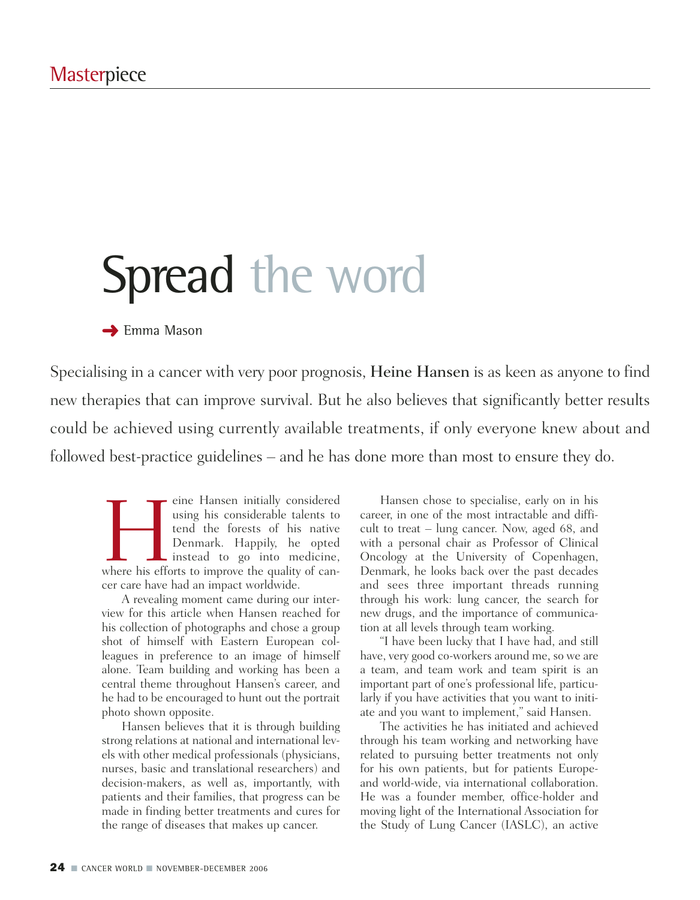# Spread the word

### **→ Emma Mason**

Specialising in a cancer with very poor prognosis, Heine Hansen is as keen as anyone to find new therapies that can improve survival. But he also believes that significantly better results could be achieved using currently available treatments, if only everyone knew about and followed best-practice guidelines – and he has done more than most to ensure they do.

The Hansen initially considered using his considerable talents to tend the forests of his native Denmark. Happily, he opted instead to go into medicine, where his efforts to improve the quality of canusing his considerable talents to tend the forests of his native Denmark. Happily, he opted Instead to go into medicine, cer care have had an impact worldwide.

A revealing moment came during our interview for this article when Hansen reached for his collection of photographs and chose a group shot of himself with Eastern European colleagues in preference to an image of himself alone. Team building and working has been a central theme throughout Hansen's career, and he had to be encouraged to hunt out the portrait photo shown opposite.

Hansen believes that it is through building strong relations at national and international levels with other medical professionals (physicians, nurses, basic and translational researchers) and decision-makers, as well as, importantly, with patients and their families, that progress can be made in finding better treatments and cures for the range of diseases that makes up cancer.

Hansen chose to specialise, early on in his career, in one of the most intractable and difficult to treat – lung cancer. Now, aged 68, and with a personal chair as Professor of Clinical Oncology at the University of Copenhagen, Denmark, he looks back over the past decades and sees three important threads running through his work: lung cancer, the search for new drugs, and the importance of communication at all levels through team working.

"I have been lucky that I have had, and still have, very good co-workers around me, so we are a team, and team work and team spirit is an important part of one's professional life, particularly if you have activities that you want to initiate and you want to implement," said Hansen.

The activities he has initiated and achieved through his team working and networking have related to pursuing better treatments not only for his own patients, but for patients Europeand world-wide, via international collaboration. He was a founder member, office-holder and moving light of the International Association for the Study of Lung Cancer (IASLC), an active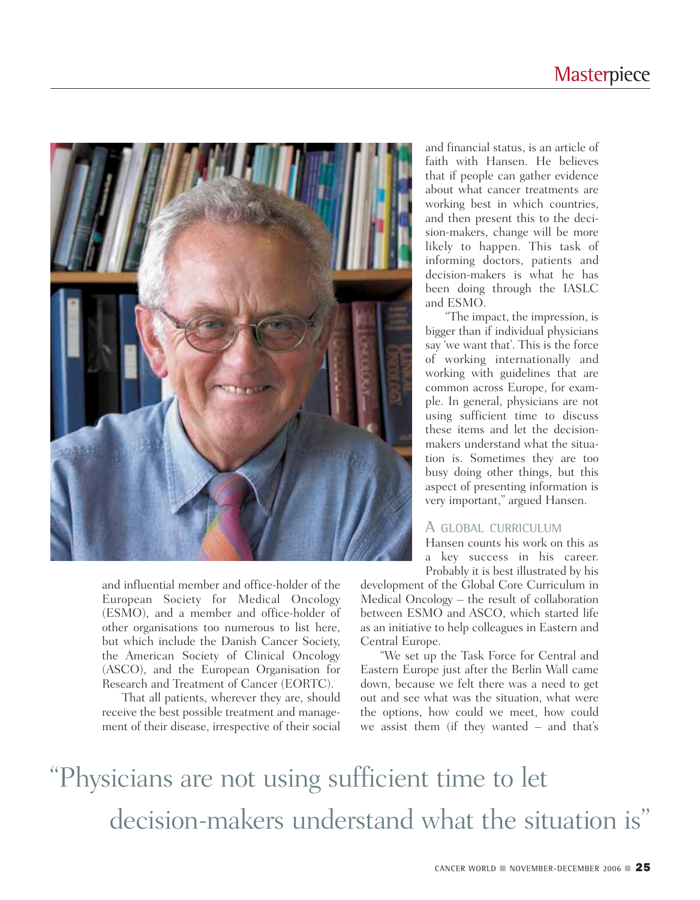

and influential member and office-holder of the European Society for Medical Oncology (ESMO), and a member and office-holder of other organisations too numerous to list here, but which include the Danish Cancer Society, the American Society of Clinical Oncology (ASCO), and the European Organisation for Research and Treatment of Cancer (EORTC).

That all patients, wherever they are, should receive the best possible treatment and management of their disease, irrespective of their social and financial status, is an article of faith with Hansen. He believes that if people can gather evidence about what cancer treatments are working best in which countries, and then present this to the decision-makers, change will be more likely to happen. This task of informing doctors, patients and decision-makers is what he has been doing through the IASLC and ESMO.

"The impact, the impression, is bigger than if individual physicians say 'we want that'. This is the force of working internationally and working with guidelines that are common across Europe, for example. In general, physicians are not using sufficient time to discuss these items and let the decisionmakers understand what the situation is. Sometimes they are too busy doing other things, but this aspect of presenting information is very important," argued Hansen.

#### **A GLOBAL CURRICULUM**

Hansen counts his work on this as a key success in his career. Probably it is best illustrated by his

development of the Global Core Curriculum in Medical Oncology – the result of collaboration between ESMO and ASCO, which started life as an initiative to help colleagues in Eastern and Central Europe.

"We set up the Task Force for Central and Eastern Europe just after the Berlin Wall came down, because we felt there was a need to get out and see what was the situation, what were the options, how could we meet, how could we assist them (if they wanted – and that's

### "Physicians are not using sufficient time to let decision-makers understand what the situation is"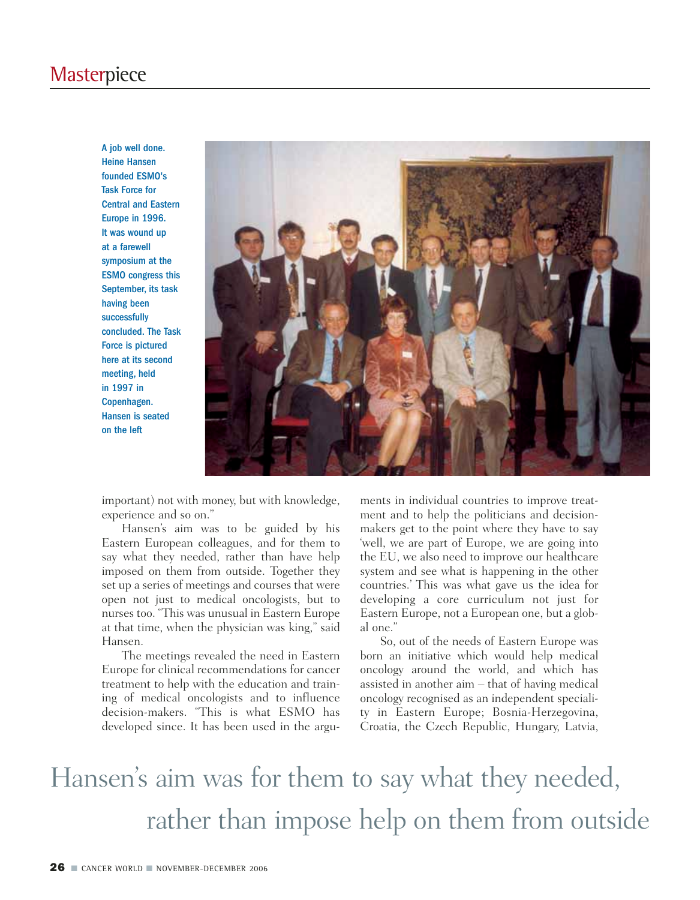### **Masterpiece**

A job well done. Heine Hansen founded ESMO's Task Force for Central and Eastern Europe in 1996. It was wound up at a farewell symposium at the ESMO congress this September, its task having been successfully concluded. The Task Force is pictured here at its second meeting, held in 1997 in Copenhagen. Hansen is seated on the left



important) not with money, but with knowledge, experience and so on."

Hansen's aim was to be guided by his Eastern European colleagues, and for them to say what they needed, rather than have help imposed on them from outside. Together they set up a series of meetings and courses that were open not just to medical oncologists, but to nurses too. "This was unusual in Eastern Europe at that time, when the physician was king," said Hansen.

The meetings revealed the need in Eastern Europe for clinical recommendations for cancer treatment to help with the education and training of medical oncologists and to influence decision-makers. "This is what ESMO has developed since. It has been used in the arguments in individual countries to improve treatment and to help the politicians and decisionmakers get to the point where they have to say 'well, we are part of Europe, we are going into the EU, we also need to improve our healthcare system and see what is happening in the other countries.' This was what gave us the idea for developing a core curriculum not just for Eastern Europe, not a European one, but a global one."

So, out of the needs of Eastern Europe was born an initiative which would help medical oncology around the world, and which has assisted in another aim – that of having medical oncology recognised as an independent speciality in Eastern Europe; Bosnia-Herzegovina, Croatia, the Czech Republic, Hungary, Latvia,

## Hansen's aim was for them to say what they needed, rather than impose help on them from outside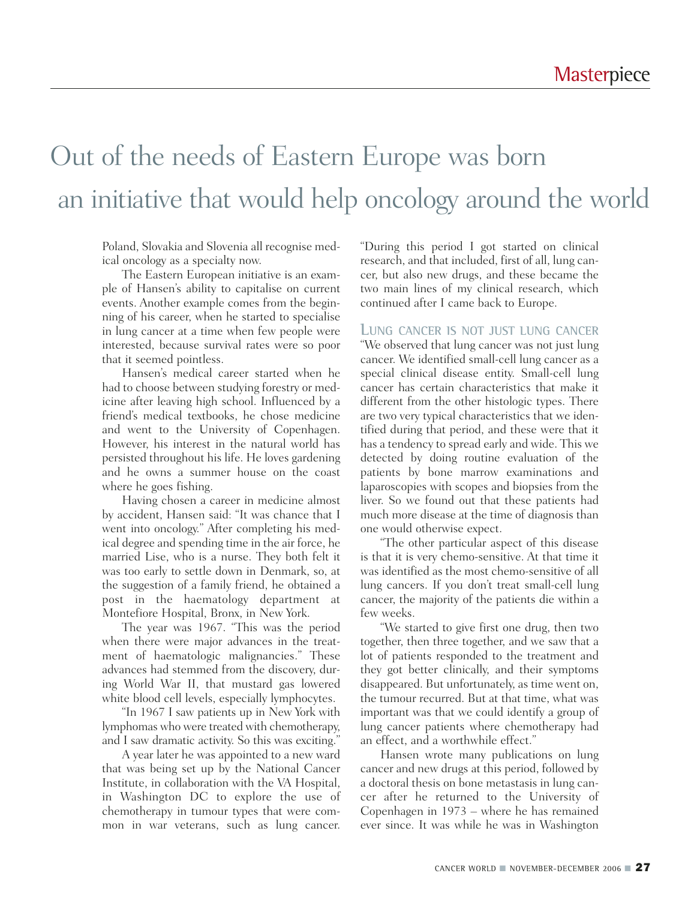### Out of the needs of Eastern Europe was born an initiative that would help oncology around the world

Poland, Slovakia and Slovenia all recognise medical oncology as a specialty now.

The Eastern European initiative is an example of Hansen's ability to capitalise on current events. Another example comes from the beginning of his career, when he started to specialise in lung cancer at a time when few people were interested, because survival rates were so poor that it seemed pointless.

Hansen's medical career started when he had to choose between studying forestry or medicine after leaving high school. Influenced by a friend's medical textbooks, he chose medicine and went to the University of Copenhagen. However, his interest in the natural world has persisted throughout his life. He loves gardening and he owns a summer house on the coast where he goes fishing.

Having chosen a career in medicine almost by accident, Hansen said: "It was chance that I went into oncology." After completing his medical degree and spending time in the air force, he married Lise, who is a nurse. They both felt it was too early to settle down in Denmark, so, at the suggestion of a family friend, he obtained a post in the haematology department at Montefiore Hospital, Bronx, in New York.

The year was 1967. "This was the period when there were major advances in the treatment of haematologic malignancies." These advances had stemmed from the discovery, during World War II, that mustard gas lowered white blood cell levels, especially lymphocytes.

"In 1967 I saw patients up in New York with lymphomas who were treated with chemotherapy, and I saw dramatic activity. So this was exciting."

A year later he was appointed to a new ward that was being set up by the National Cancer Institute, in collaboration with the VA Hospital, in Washington DC to explore the use of chemotherapy in tumour types that were common in war veterans, such as lung cancer. "During this period I got started on clinical research, and that included, first of all, lung cancer, but also new drugs, and these became the two main lines of my clinical research, which continued after I came back to Europe.

#### **LUNG CANCER IS NOT JUST LUNG CANCER**

"We observed that lung cancer was not just lung cancer. We identified small-cell lung cancer as a special clinical disease entity. Small-cell lung cancer has certain characteristics that make it different from the other histologic types. There are two very typical characteristics that we identified during that period, and these were that it has a tendency to spread early and wide. This we detected by doing routine evaluation of the patients by bone marrow examinations and laparoscopies with scopes and biopsies from the liver. So we found out that these patients had much more disease at the time of diagnosis than one would otherwise expect.

"The other particular aspect of this disease is that it is very chemo-sensitive. At that time it was identified as the most chemo-sensitive of all lung cancers. If you don't treat small-cell lung cancer, the majority of the patients die within a few weeks.

"We started to give first one drug, then two together, then three together, and we saw that a lot of patients responded to the treatment and they got better clinically, and their symptoms disappeared. But unfortunately, as time went on, the tumour recurred. But at that time, what was important was that we could identify a group of lung cancer patients where chemotherapy had an effect, and a worthwhile effect."

Hansen wrote many publications on lung cancer and new drugs at this period, followed by a doctoral thesis on bone metastasis in lung cancer after he returned to the University of Copenhagen in 1973 – where he has remained ever since. It was while he was in Washington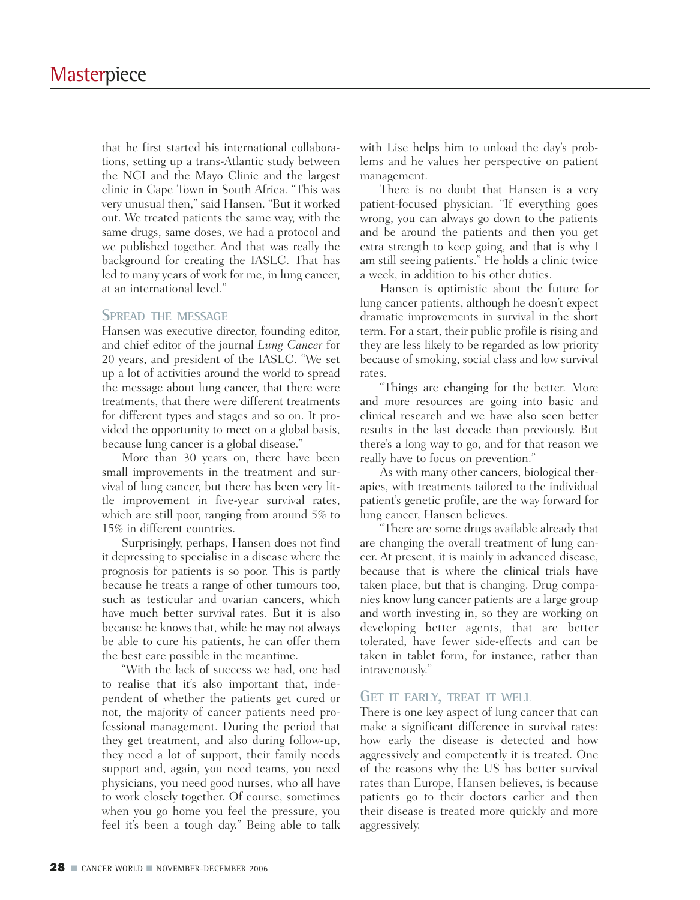that he first started his international collaborations, setting up a trans-Atlantic study between the NCI and the Mayo Clinic and the largest clinic in Cape Town in South Africa. "This was very unusual then," said Hansen. "But it worked out. We treated patients the same way, with the same drugs, same doses, we had a protocol and we published together. And that was really the background for creating the IASLC. That has led to many years of work for me, in lung cancer, at an international level."

#### **SPREAD THE MESSAGE**

Hansen was executive director, founding editor, and chief editor of the journal *Lung Cancer* for 20 years, and president of the IASLC. "We set up a lot of activities around the world to spread the message about lung cancer, that there were treatments, that there were different treatments for different types and stages and so on. It provided the opportunity to meet on a global basis, because lung cancer is a global disease."

More than 30 years on, there have been small improvements in the treatment and survival of lung cancer, but there has been very little improvement in five-year survival rates, which are still poor, ranging from around 5% to 15% in different countries.

Surprisingly, perhaps, Hansen does not find it depressing to specialise in a disease where the prognosis for patients is so poor. This is partly because he treats a range of other tumours too, such as testicular and ovarian cancers, which have much better survival rates. But it is also because he knows that, while he may not always be able to cure his patients, he can offer them the best care possible in the meantime.

"With the lack of success we had, one had to realise that it's also important that, independent of whether the patients get cured or not, the majority of cancer patients need professional management. During the period that they get treatment, and also during follow-up, they need a lot of support, their family needs support and, again, you need teams, you need physicians, you need good nurses, who all have to work closely together. Of course, sometimes when you go home you feel the pressure, you feel it's been a tough day." Being able to talk with Lise helps him to unload the day's problems and he values her perspective on patient management.

There is no doubt that Hansen is a very patient-focused physician. "If everything goes wrong, you can always go down to the patients and be around the patients and then you get extra strength to keep going, and that is why I am still seeing patients." He holds a clinic twice a week, in addition to his other duties.

Hansen is optimistic about the future for lung cancer patients, although he doesn't expect dramatic improvements in survival in the short term. For a start, their public profile is rising and they are less likely to be regarded as low priority because of smoking, social class and low survival rates.

"Things are changing for the better. More and more resources are going into basic and clinical research and we have also seen better results in the last decade than previously. But there's a long way to go, and for that reason we really have to focus on prevention."

As with many other cancers, biological therapies, with treatments tailored to the individual patient's genetic profile, are the way forward for lung cancer, Hansen believes.

"There are some drugs available already that are changing the overall treatment of lung cancer. At present, it is mainly in advanced disease, because that is where the clinical trials have taken place, but that is changing. Drug companies know lung cancer patients are a large group and worth investing in, so they are working on developing better agents, that are better tolerated, have fewer side-effects and can be taken in tablet form, for instance, rather than intravenously."

#### **GET IT EARLY, TREAT IT WELL**

There is one key aspect of lung cancer that can make a significant difference in survival rates: how early the disease is detected and how aggressively and competently it is treated. One of the reasons why the US has better survival rates than Europe, Hansen believes, is because patients go to their doctors earlier and then their disease is treated more quickly and more aggressively.